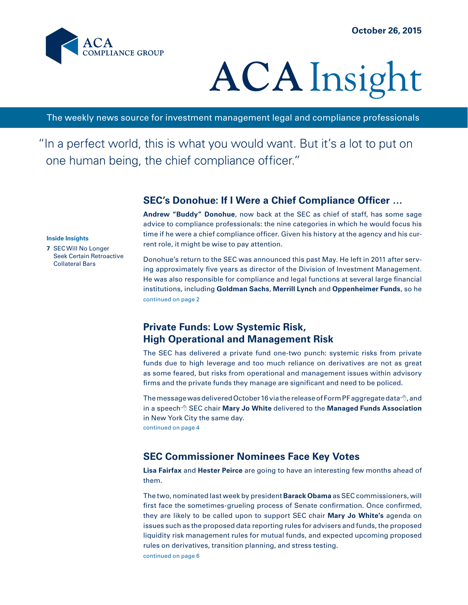

# **ACA** Insight

The weekly news source for investment management legal and compliance professionals

"In a perfect world, this is what you would want. But it's a lot to put on one human being, the chief compliance officer."

# **SEC's Donohue: If I Were a Chief Compliance Officer …**

**Andrew "Buddy" Donohue**, now back at the SEC as chief of staff, has some sage advice to compliance professionals: the nine categories in which he would focus his time if he were a chief compliance officer. Given his history at the agency and his current role, it might be wise to pay attention.

#### **Inside Insights**

**7** SEC Will No Longer Seek Certain Retroactive Collateral Bars

continued on page 2 Donohue's return to the SEC was announced this past May. He left in 2011 after serving approximately five years as director of the Division of Investment Management. He was also responsible for compliance and legal functions at several large financial institutions, including **Goldman Sachs**, **Merrill Lynch** and **Oppenheimer Funds**, so he

# **Private Funds: Low Systemic Risk, High Operational and Management Risk**

The SEC has delivered a private fund one-two punch: systemic risks from private funds due to high leverage and too much reliance on derivatives are not as great as some feared, but risks from operational and management issues within advisory firms and the private funds they manage are significant and need to be policed.

continued on page 4 The message was delivered October 16 via the release of Form PF aggregate data  $\oplus$  , and in a speech<sup> $\theta$ </sup> SEC chair **Mary Jo White** delivered to the **Managed Funds Association** in New York City the same day.

# **SEC Commissioner Nominees Face Key Votes**

**Lisa Fairfax** and **Hester Peirce** are going to have an interesting few months ahead of them.

The two, nominated last week by president **Barack Obama** as SEC commissioners, will first face the sometimes-grueling process of Senate confirmation. Once confirmed, they are likely to be called upon to support SEC chair **Mary Jo White's** agenda on issues such as the proposed data reporting rules for advisers and funds, the proposed liquidity risk management rules for mutual funds, and expected upcoming proposed rules on derivatives, transition planning, and stress testing.

continued on page 6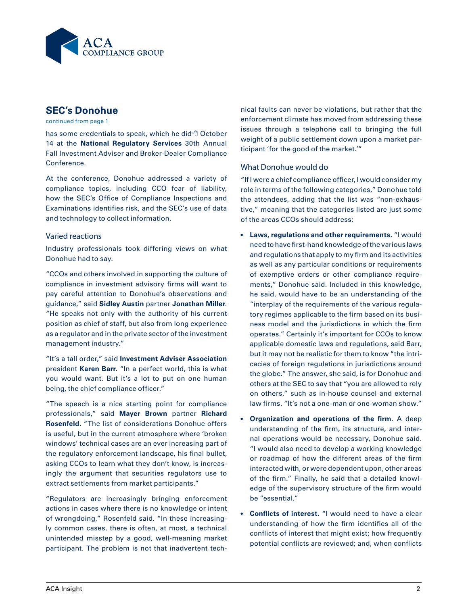

# **SEC's Donohue**

continued from page 1

has some credentials to speak, which he did<sup>-6</sup> October 14 at the **National Regulatory Services** 30th Annual Fall Investment Adviser and Broker-Dealer Compliance Conference.

At the conference, Donohue addressed a variety of compliance topics, including CCO fear of liability, how the SEC's Office of Compliance Inspections and Examinations identifies risk, and the SEC's use of data and technology to collect information.

#### Varied reactions

Industry professionals took differing views on what Donohue had to say.

"CCOs and others involved in supporting the culture of compliance in investment advisory firms will want to pay careful attention to Donohue's observations and guidance," said **Sidley Austin** partner **Jonathan Miller**. "He speaks not only with the authority of his current position as chief of staff, but also from long experience as a regulator and in the private sector of the investment management industry."

"It's a tall order," said **Investment Adviser Association**  president **Karen Barr**. "In a perfect world, this is what you would want. But it's a lot to put on one human being, the chief compliance officer."

"The speech is a nice starting point for compliance professionals," said **Mayer Brown** partner **Richard Rosenfeld**. "The list of considerations Donohue offers is useful, but in the current atmosphere where 'broken windows' technical cases are an ever increasing part of the regulatory enforcement landscape, his final bullet, asking CCOs to learn what they don't know, is increasingly the argument that securities regulators use to extract settlements from market participants."

"Regulators are increasingly bringing enforcement actions in cases where there is no knowledge or intent of wrongdoing," Rosenfeld said. "In these increasingly common cases, there is often, at most, a technical unintended misstep by a good, well-meaning market participant. The problem is not that inadvertent technical faults can never be violations, but rather that the enforcement climate has moved from addressing these issues through a telephone call to bringing the full weight of a public settlement down upon a market participant 'for the good of the market.'"

#### What Donohue would do

"If I were a chief compliance officer, I would consider my role in terms of the following categories," Donohue told the attendees, adding that the list was "non-exhaustive," meaning that the categories listed are just some of the areas CCOs should address:

- **• Laws, regulations and other requirements.** "I would need to have first-hand knowledge of the various laws and regulations that apply to my firm and its activities as well as any particular conditions or requirements of exemptive orders or other compliance requirements," Donohue said. Included in this knowledge, he said, would have to be an understanding of the "interplay of the requirements of the various regulatory regimes applicable to the firm based on its business model and the jurisdictions in which the firm operates." Certainly it's important for CCOs to know applicable domestic laws and regulations, said Barr, but it may not be realistic for them to know "the intricacies of foreign regulations in jurisdictions around the globe." The answer, she said, is for Donohue and others at the SEC to say that "you are allowed to rely on others," such as in-house counsel and external law firms. "It's not a one-man or one-woman show."
- **• Organization and operations of the firm.** A deep understanding of the firm, its structure, and internal operations would be necessary, Donohue said. "I would also need to develop a working knowledge or roadmap of how the different areas of the firm interacted with, or were dependent upon, other areas of the firm." Finally, he said that a detailed knowledge of the supervisory structure of the firm would be "essential."
- **Conflicts of interest.** "I would need to have a clear understanding of how the firm identifies all of the conflicts of interest that might exist; how frequently potential conflicts are reviewed; and, when conflicts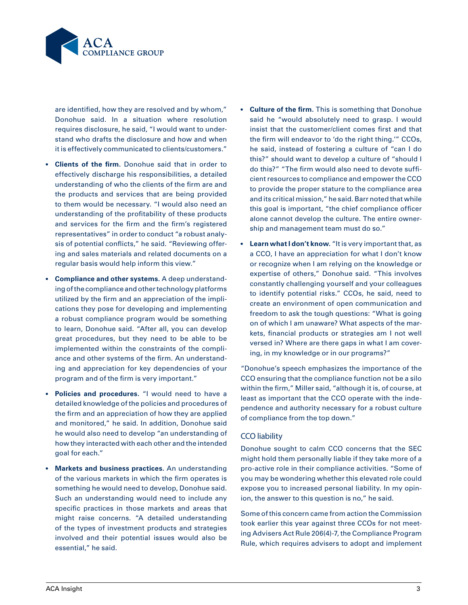

are identified, how they are resolved and by whom," Donohue said. In a situation where resolution requires disclosure, he said, "I would want to understand who drafts the disclosure and how and when it is effectively communicated to clients/customers."

- **• Clients of the firm.** Donohue said that in order to effectively discharge his responsibilities, a detailed understanding of who the clients of the firm are and the products and services that are being provided to them would be necessary. "I would also need an understanding of the profitability of these products and services for the firm and the firm's registered representatives" in order to conduct "a robust analysis of potential conflicts," he said. "Reviewing offering and sales materials and related documents on a regular basis would help inform this view."
- **• Compliance and other systems.** A deep understanding of the compliance and other technology platforms utilized by the firm and an appreciation of the implications they pose for developing and implementing a robust compliance program would be something to learn, Donohue said. "After all, you can develop great procedures, but they need to be able to be implemented within the constraints of the compliance and other systems of the firm. An understanding and appreciation for key dependencies of your program and of the firm is very important."
- **• Policies and procedures.** "I would need to have a detailed knowledge of the policies and procedures of the firm and an appreciation of how they are applied and monitored," he said. In addition, Donohue said he would also need to develop "an understanding of how they interacted with each other and the intended goal for each."
- **• Markets and business practices.** An understanding of the various markets in which the firm operates is something he would need to develop, Donohue said. Such an understanding would need to include any specific practices in those markets and areas that might raise concerns. "A detailed understanding of the types of investment products and strategies involved and their potential issues would also be essential," he said.
- **• Culture of the firm.** This is something that Donohue said he "would absolutely need to grasp. I would insist that the customer/client comes first and that the firm will endeavor to 'do the right thing.'" CCOs, he said, instead of fostering a culture of "can I do this?" should want to develop a culture of "should I do this?" "The firm would also need to devote sufficient resources to compliance and empower the CCO to provide the proper stature to the compliance area and its critical mission," he said. Barr noted that while this goal is important, "the chief compliance officer alone cannot develop the culture. The entire ownership and management team must do so."
- **• Learn what I don't know.** "It is very important that, as a CCO, I have an appreciation for what I don't know or recognize when I am relying on the knowledge or expertise of others," Donohue said. "This involves constantly challenging yourself and your colleagues to identify potential risks." CCOs, he said, need to create an environment of open communication and freedom to ask the tough questions: "What is going on of which I am unaware? What aspects of the markets, financial products or strategies am I not well versed in? Where are there gaps in what I am covering, in my knowledge or in our programs?"

"Donohue's speech emphasizes the importance of the CCO ensuring that the compliance function not be a silo within the firm," Miller said, "although it is, of course, at least as important that the CCO operate with the independence and authority necessary for a robust culture of compliance from the top down."

#### CCO liability

Donohue sought to calm CCO concerns that the SEC might hold them personally liable if they take more of a pro-active role in their compliance activities. "Some of you may be wondering whether this elevated role could expose you to increased personal liability. In my opinion, the answer to this question is no," he said.

Some of this concern came from action the Commission took earlier this year against three CCOs for not meeting Advisers Act Rule 206(4)-7, the Compliance Program Rule, which requires advisers to adopt and implement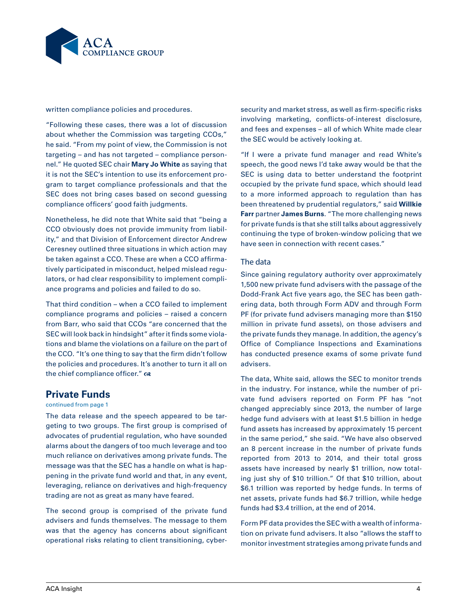

written compliance policies and procedures.

"Following these cases, there was a lot of discussion about whether the Commission was targeting CCOs," he said. "From my point of view, the Commission is not targeting – and has not targeted – compliance personnel." He quoted SEC chair **Mary Jo White** as saying that it is not the SEC's intention to use its enforcement program to target compliance professionals and that the SEC does not bring cases based on second guessing compliance officers' good faith judgments.

Nonetheless, he did note that White said that "being a CCO obviously does not provide immunity from liability," and that Division of Enforcement director Andrew Ceresney outlined three situations in which action may be taken against a CCO. These are when a CCO affirmatively participated in misconduct, helped mislead regulators, or had clear responsibility to implement compliance programs and policies and failed to do so.

That third condition – when a CCO failed to implement compliance programs and policies – raised a concern from Barr, who said that CCOs "are concerned that the SEC will look back in hindsight" after it finds some violations and blame the violations on a failure on the part of the CCO. "It's one thing to say that the firm didn't follow the policies and procedures. It's another to turn it all on the chief compliance officer."  $\infty$ 

## **Private Funds**

#### continued from page 1

The data release and the speech appeared to be targeting to two groups. The first group is comprised of advocates of prudential regulation, who have sounded alarms about the dangers of too much leverage and too much reliance on derivatives among private funds. The message was that the SEC has a handle on what is happening in the private fund world and that, in any event, leveraging, reliance on derivatives and high-frequency trading are not as great as many have feared.

The second group is comprised of the private fund advisers and funds themselves. The message to them was that the agency has concerns about significant operational risks relating to client transitioning, cybersecurity and market stress, as well as firm-specific risks involving marketing, conflicts-of-interest disclosure, and fees and expenses – all of which White made clear the SEC would be actively looking at.

"If I were a private fund manager and read White's speech, the good news I'd take away would be that the SEC is using data to better understand the footprint occupied by the private fund space, which should lead to a more informed approach to regulation than has been threatened by prudential regulators," said **Willkie Farr** partner **James Burns**. "The more challenging news for private funds is that she still talks about aggressively continuing the type of broken-window policing that we have seen in connection with recent cases."

#### The data

Since gaining regulatory authority over approximately 1,500 new private fund advisers with the passage of the Dodd-Frank Act five years ago, the SEC has been gathering data, both through Form ADV and through Form PF (for private fund advisers managing more than \$150 million in private fund assets), on those advisers and the private funds they manage. In addition, the agency's Office of Compliance Inspections and Examinations has conducted presence exams of some private fund advisers.

The data, White said, allows the SEC to monitor trends in the industry. For instance, while the number of private fund advisers reported on Form PF has "not changed appreciably since 2013, the number of large hedge fund advisers with at least \$1.5 billion in hedge fund assets has increased by approximately 15 percent in the same period," she said. "We have also observed an 8 percent increase in the number of private funds reported from 2013 to 2014, and their total gross assets have increased by nearly \$1 trillion, now totaling just shy of \$10 trillion." Of that \$10 trillion, about \$6.1 trillion was reported by hedge funds. In terms of net assets, private funds had \$6.7 trillion, while hedge funds had \$3.4 trillion, at the end of 2014.

Form PF data provides the SEC with a wealth of information on private fund advisers. It also "allows the staff to monitor investment strategies among private funds and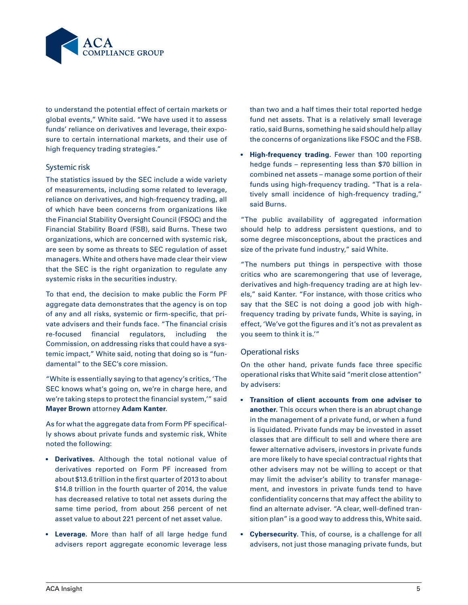

to understand the potential effect of certain markets or global events," White said. "We have used it to assess funds' reliance on derivatives and leverage, their exposure to certain international markets, and their use of high frequency trading strategies."

#### Systemic risk

The statistics issued by the SEC include a wide variety of measurements, including some related to leverage, reliance on derivatives, and high-frequency trading, all of which have been concerns from organizations like the Financial Stability Oversight Council (FSOC) and the Financial Stability Board (FSB), said Burns. These two organizations, which are concerned with systemic risk, are seen by some as threats to SEC regulation of asset managers. White and others have made clear their view that the SEC is the right organization to regulate any systemic risks in the securities industry.

To that end, the decision to make public the Form PF aggregate data demonstrates that the agency is on top of any and all risks, systemic or firm-specific, that private advisers and their funds face. "The financial crisis re-focused financial regulators, including the Commission, on addressing risks that could have a systemic impact," White said, noting that doing so is "fundamental" to the SEC's core mission.

"White is essentially saying to that agency's critics, 'The SEC knows what's going on, we're in charge here, and we're taking steps to protect the financial system,'" said **Mayer Brown** attorney **Adam Kanter**.

As for what the aggregate data from Form PF specifically shows about private funds and systemic risk, White noted the following:

- **• Derivatives.** Although the total notional value of derivatives reported on Form PF increased from about \$13.6 trillion in the first quarter of 2013 to about \$14.8 trillion in the fourth quarter of 2014, the value has decreased relative to total net assets during the same time period, from about 256 percent of net asset value to about 221 percent of net asset value.
- **• Leverage.** More than half of all large hedge fund advisers report aggregate economic leverage less

than two and a half times their total reported hedge fund net assets. That is a relatively small leverage ratio, said Burns, something he said should help allay the concerns of organizations like FSOC and the FSB.

**• High-frequency trading.** Fewer than 100 reporting hedge funds – representing less than \$70 billion in combined net assets – manage some portion of their funds using high-frequency trading. "That is a relatively small incidence of high-frequency trading," said Burns.

"The public availability of aggregated information should help to address persistent questions, and to some degree misconceptions, about the practices and size of the private fund industry," said White.

"The numbers put things in perspective with those critics who are scaremongering that use of leverage, derivatives and high-frequency trading are at high levels," said Kanter. "For instance, with those critics who say that the SEC is not doing a good job with highfrequency trading by private funds, White is saying, in effect, 'We've got the figures and it's not as prevalent as you seem to think it is.'"

#### Operational risks

On the other hand, private funds face three specific operational risks that White said "merit close attention" by advisers:

- **• Transition of client accounts from one adviser to another.** This occurs when there is an abrupt change in the management of a private fund, or when a fund is liquidated. Private funds may be invested in asset classes that are difficult to sell and where there are fewer alternative advisers, investors in private funds are more likely to have special contractual rights that other advisers may not be willing to accept or that may limit the adviser's ability to transfer management, and investors in private funds tend to have confidentiality concerns that may affect the ability to find an alternate adviser. "A clear, well-defined transition plan" is a good way to address this, White said.
- **• Cybersecurity.** This, of course, is a challenge for all advisers, not just those managing private funds, but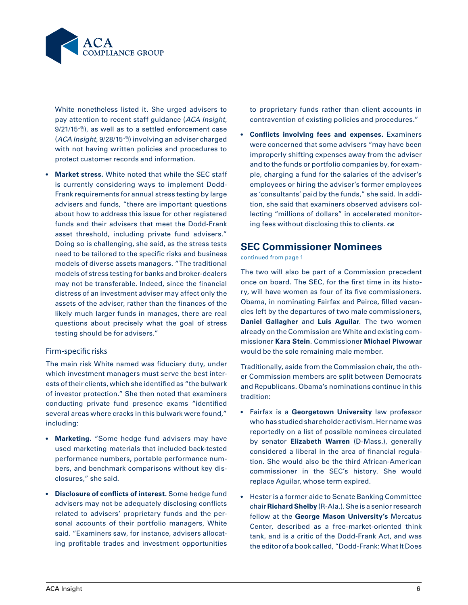

White nonetheless listed it. She urged advisers to pay attention to recent staff guidance (*ACA Insight*,  $9/21/15$ <sup>c</sup>), as well as to a settled enforcement case (ACA Insight, 9/2[8](http://www.acainsight.com/issues/1_505/news/SEC-Adviser-Cybersecurity-Breach_23539-1.html)/15<sup>-6</sup>) involving an adviser charged with not having written policies and procedures to protect customer records and information.

**• Market stress.** White noted that while the SEC staff is currently considering ways to implement Dodd-Frank requirements for annual stress testing by large advisers and funds, "there are important questions about how to address this issue for other registered funds and their advisers that meet the Dodd-Frank asset threshold, including private fund advisers." Doing so is challenging, she said, as the stress tests need to be tailored to the specific risks and business models of diverse assets managers. "The traditional models of stress testing for banks and broker-dealers may not be transferable. Indeed, since the financial distress of an investment adviser may affect only the assets of the adviser, rather than the finances of the likely much larger funds in manages, there are real questions about precisely what the goal of stress testing should be for advisers."

#### Firm-specific risks

The main risk White named was fiduciary duty, under which investment managers must serve the best interests of their clients, which she identified as "the bulwark of investor protection." She then noted that examiners conducting private fund presence exams "identified several areas where cracks in this bulwark were found," including:

- **• Marketing.** "Some hedge fund advisers may have used marketing materials that included back-tested performance numbers, portable performance numbers, and benchmark comparisons without key disclosures," she said.
- **• Disclosure of conflicts of interest.** Some hedge fund advisers may not be adequately disclosing conflicts related to advisers' proprietary funds and the personal accounts of their portfolio managers, White said. "Examiners saw, for instance, advisers allocating profitable trades and investment opportunities

to proprietary funds rather than client accounts in contravention of existing policies and procedures."

**• Conflicts involving fees and expenses.** Examiners were concerned that some advisers "may have been improperly shifting expenses away from the adviser and to the funds or portfolio companies by, for example, charging a fund for the salaries of the adviser's employees or hiring the adviser's former employees as 'consultants' paid by the funds," she said. In addition, she said that examiners observed advisers collecting "millions of dollars" in accelerated monitoring fees without disclosing this to clients.  $\infty$ 

## **SEC Commissioner Nominees**

continued from page 1

The two will also be part of a Commission precedent once on board. The SEC, for the first time in its history, will have women as four of its five commissioners. Obama, in nominating Fairfax and Peirce, filled vacancies left by the departures of two male commissioners, **Daniel Gallagher** and **Luis Aguilar**. The two women already on the Commission are White and existing commissioner **Kara Stein**. Commissioner **Michael Piwowar**  would be the sole remaining male member.

Traditionally, aside from the Commission chair, the other Commission members are split between Democrats and Republicans. Obama's nominations continue in this tradition:

- • Fairfax is a **Georgetown University** law professor who has studied shareholder activism. Her name was reportedly on a list of possible nominees circulated by senator **Elizabeth Warren** (D-Mass.), generally considered a liberal in the area of financial regulation. She would also be the third African-American commissioner in the SEC's history. She would replace Aguilar, whose term expired.
- • Hester is a former aide to Senate Banking Committee chair **Richard Shelby** (R-Ala.). She is a senior research fellow at the **George Mason University's** Mercatus Center, described as a free-market-oriented think tank, and is a critic of the Dodd-Frank Act, and was the editor of a book called, "Dodd-Frank: What It Does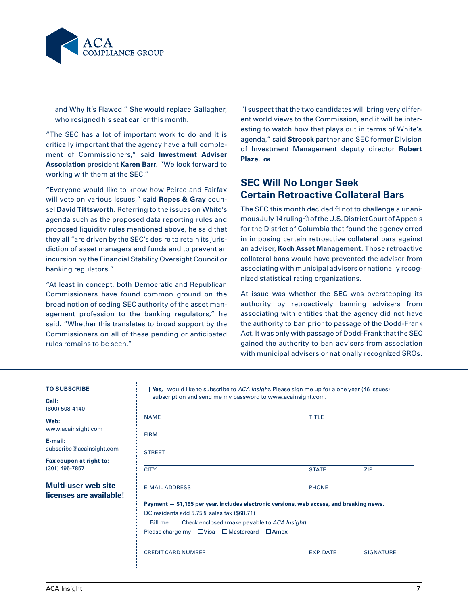

and Why It's Flawed." She would replace Gallagher, who resigned his seat earlier this month.

"The SEC has a lot of important work to do and it is critically important that the agency have a full complement of Commissioners," said **Investment Adviser Association** president **Karen Barr**. "We look forward to working with them at the SEC."

"Everyone would like to know how Peirce and Fairfax will vote on various issues," said **Ropes & Gray** counsel **David Tittsworth**. Referring to the issues on White's agenda such as the proposed data reporting rules and proposed liquidity rules mentioned above, he said that they all "are driven by the SEC's desire to retain its jurisdiction of asset managers and funds and to prevent an incursion by the Financial Stability Oversight Council or banking regulators."

"At least in concept, both Democratic and Republican Commissioners have found common ground on the broad notion of ceding SEC authority of the asset management profession to the banking regulators," he said. "Whether this translates to broad support by the Commissioners on all of these pending or anticipated rules remains to be seen."

"I suspect that the two candidates will bring very different world views to the Commission, and it will be interesting to watch how that plays out in terms of White's agenda," said **Stroock** partner and SEC former Division of Investment Management deputy director **Robert**  Plaze.  $\alpha$ 

# **SEC Will No Longer Seek Certain Retroactive Collateral Bars**

The SEC this month decided $\sqrt{\theta}$  not to challenge a unanimous July 14 ruling <sup>n</sup> of the U.S. District Court of Appeals for the District of Columbia that found the agency erred in imposing certain retroactive collateral bars against an adviser, **Koch Asset Management**. Those retroactive collateral bans would have prevented the adviser from associating with municipal advisers or nationally recognized statistical rating organizations.

At issue was whether the SEC was overstepping its authority by retroactively banning advisers from associating with entities that the agency did not have the authority to ban prior to passage of the Dodd-Frank Act. It was only with passage of Dodd-Frank that the SEC gained the authority to ban advisers from association with municipal advisers or nationally recognized SROs.

#### **To Subscribe**

**Call:** (800) 508-4140

**Web:** www.acainsight.com

**E-mail:** subscribe@acainsight.com

**Fax coupon at right to:** (301) 495-7857

#### **Multi-user web site licenses are available!**

| <b>NAME</b>                                                                                                                      | <b>TITLE</b> |            |
|----------------------------------------------------------------------------------------------------------------------------------|--------------|------------|
| <b>FIRM</b>                                                                                                                      |              |            |
| <b>STREET</b>                                                                                                                    |              |            |
| <b>CITY</b>                                                                                                                      | <b>STATE</b> | <b>ZIP</b> |
| <b>E-MAIL ADDRESS</b>                                                                                                            | <b>PHONE</b> |            |
| Payment - \$1,195 per year. Includes electronic versions, web access, and breaking news.                                         |              |            |
| DC residents add 5.75% sales tax (\$68.71)                                                                                       |              |            |
|                                                                                                                                  |              |            |
|                                                                                                                                  |              |            |
| $\Box$ Bill me $\Box$ Check enclosed (make payable to ACA Insight)<br>Please charge my $\Box$ Visa $\Box$ Mastercard $\Box$ Amex |              |            |